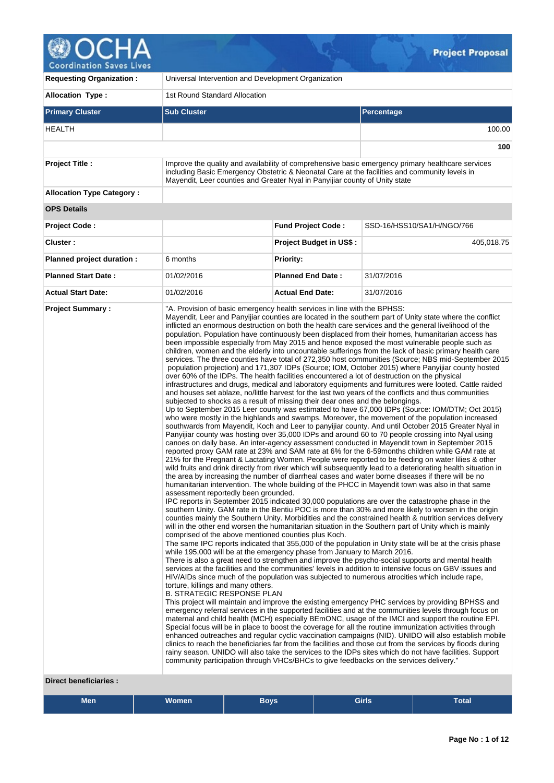| <b>Coordination Saves Lives</b>  |                                                                                                                                                                                                                                                                                                    |                                | <b>Project Proposal</b>                                                                                                                                                                                                                                                                                                                                                                                                                                                                                                                                                                                                                                                                                                                                                                                                                                                                                                                                                                                                                                                                                                                                                                                                                                                                                                                                                                                                                                                                                                                                                                                                                                                                                                                                                                                                                                                                                                                                                                                                                                                                                                   |
|----------------------------------|----------------------------------------------------------------------------------------------------------------------------------------------------------------------------------------------------------------------------------------------------------------------------------------------------|--------------------------------|---------------------------------------------------------------------------------------------------------------------------------------------------------------------------------------------------------------------------------------------------------------------------------------------------------------------------------------------------------------------------------------------------------------------------------------------------------------------------------------------------------------------------------------------------------------------------------------------------------------------------------------------------------------------------------------------------------------------------------------------------------------------------------------------------------------------------------------------------------------------------------------------------------------------------------------------------------------------------------------------------------------------------------------------------------------------------------------------------------------------------------------------------------------------------------------------------------------------------------------------------------------------------------------------------------------------------------------------------------------------------------------------------------------------------------------------------------------------------------------------------------------------------------------------------------------------------------------------------------------------------------------------------------------------------------------------------------------------------------------------------------------------------------------------------------------------------------------------------------------------------------------------------------------------------------------------------------------------------------------------------------------------------------------------------------------------------------------------------------------------------|
| <b>Requesting Organization:</b>  | Universal Intervention and Development Organization                                                                                                                                                                                                                                                |                                |                                                                                                                                                                                                                                                                                                                                                                                                                                                                                                                                                                                                                                                                                                                                                                                                                                                                                                                                                                                                                                                                                                                                                                                                                                                                                                                                                                                                                                                                                                                                                                                                                                                                                                                                                                                                                                                                                                                                                                                                                                                                                                                           |
| <b>Allocation Type:</b>          | 1st Round Standard Allocation                                                                                                                                                                                                                                                                      |                                |                                                                                                                                                                                                                                                                                                                                                                                                                                                                                                                                                                                                                                                                                                                                                                                                                                                                                                                                                                                                                                                                                                                                                                                                                                                                                                                                                                                                                                                                                                                                                                                                                                                                                                                                                                                                                                                                                                                                                                                                                                                                                                                           |
| <b>Primary Cluster</b>           | <b>Sub Cluster</b>                                                                                                                                                                                                                                                                                 |                                | Percentage                                                                                                                                                                                                                                                                                                                                                                                                                                                                                                                                                                                                                                                                                                                                                                                                                                                                                                                                                                                                                                                                                                                                                                                                                                                                                                                                                                                                                                                                                                                                                                                                                                                                                                                                                                                                                                                                                                                                                                                                                                                                                                                |
| <b>HEALTH</b>                    |                                                                                                                                                                                                                                                                                                    |                                | 100.00                                                                                                                                                                                                                                                                                                                                                                                                                                                                                                                                                                                                                                                                                                                                                                                                                                                                                                                                                                                                                                                                                                                                                                                                                                                                                                                                                                                                                                                                                                                                                                                                                                                                                                                                                                                                                                                                                                                                                                                                                                                                                                                    |
|                                  |                                                                                                                                                                                                                                                                                                    |                                | 100                                                                                                                                                                                                                                                                                                                                                                                                                                                                                                                                                                                                                                                                                                                                                                                                                                                                                                                                                                                                                                                                                                                                                                                                                                                                                                                                                                                                                                                                                                                                                                                                                                                                                                                                                                                                                                                                                                                                                                                                                                                                                                                       |
| <b>Project Title:</b>            | Mayendit, Leer counties and Greater Nyal in Panyijiar county of Unity state                                                                                                                                                                                                                        |                                | Improve the quality and availability of comprehensive basic emergency primary healthcare services<br>including Basic Emergency Obstetric & Neonatal Care at the facilities and community levels in                                                                                                                                                                                                                                                                                                                                                                                                                                                                                                                                                                                                                                                                                                                                                                                                                                                                                                                                                                                                                                                                                                                                                                                                                                                                                                                                                                                                                                                                                                                                                                                                                                                                                                                                                                                                                                                                                                                        |
| <b>Allocation Type Category:</b> |                                                                                                                                                                                                                                                                                                    |                                |                                                                                                                                                                                                                                                                                                                                                                                                                                                                                                                                                                                                                                                                                                                                                                                                                                                                                                                                                                                                                                                                                                                                                                                                                                                                                                                                                                                                                                                                                                                                                                                                                                                                                                                                                                                                                                                                                                                                                                                                                                                                                                                           |
| <b>OPS Details</b>               |                                                                                                                                                                                                                                                                                                    |                                |                                                                                                                                                                                                                                                                                                                                                                                                                                                                                                                                                                                                                                                                                                                                                                                                                                                                                                                                                                                                                                                                                                                                                                                                                                                                                                                                                                                                                                                                                                                                                                                                                                                                                                                                                                                                                                                                                                                                                                                                                                                                                                                           |
| <b>Project Code:</b>             |                                                                                                                                                                                                                                                                                                    | <b>Fund Project Code:</b>      | SSD-16/HSS10/SA1/H/NGO/766                                                                                                                                                                                                                                                                                                                                                                                                                                                                                                                                                                                                                                                                                                                                                                                                                                                                                                                                                                                                                                                                                                                                                                                                                                                                                                                                                                                                                                                                                                                                                                                                                                                                                                                                                                                                                                                                                                                                                                                                                                                                                                |
| Cluster:                         |                                                                                                                                                                                                                                                                                                    | <b>Project Budget in US\$:</b> | 405,018.75                                                                                                                                                                                                                                                                                                                                                                                                                                                                                                                                                                                                                                                                                                                                                                                                                                                                                                                                                                                                                                                                                                                                                                                                                                                                                                                                                                                                                                                                                                                                                                                                                                                                                                                                                                                                                                                                                                                                                                                                                                                                                                                |
| Planned project duration :       | 6 months                                                                                                                                                                                                                                                                                           | <b>Priority:</b>               |                                                                                                                                                                                                                                                                                                                                                                                                                                                                                                                                                                                                                                                                                                                                                                                                                                                                                                                                                                                                                                                                                                                                                                                                                                                                                                                                                                                                                                                                                                                                                                                                                                                                                                                                                                                                                                                                                                                                                                                                                                                                                                                           |
| <b>Planned Start Date:</b>       | 01/02/2016                                                                                                                                                                                                                                                                                         | <b>Planned End Date:</b>       | 31/07/2016                                                                                                                                                                                                                                                                                                                                                                                                                                                                                                                                                                                                                                                                                                                                                                                                                                                                                                                                                                                                                                                                                                                                                                                                                                                                                                                                                                                                                                                                                                                                                                                                                                                                                                                                                                                                                                                                                                                                                                                                                                                                                                                |
| <b>Actual Start Date:</b>        | 01/02/2016                                                                                                                                                                                                                                                                                         | <b>Actual End Date:</b>        | 31/07/2016                                                                                                                                                                                                                                                                                                                                                                                                                                                                                                                                                                                                                                                                                                                                                                                                                                                                                                                                                                                                                                                                                                                                                                                                                                                                                                                                                                                                                                                                                                                                                                                                                                                                                                                                                                                                                                                                                                                                                                                                                                                                                                                |
| <b>Project Summary:</b>          | "A. Provision of basic emergency health services in line with the BPHSS:<br>over 60% of the IDPs. The health facilities encountered a lot of destruction on the physical<br>subjected to shocks as a result of missing their dear ones and the belongings.<br>assessment reportedly been grounded. |                                | Mayendit, Leer and Panyijiar counties are located in the southern part of Unity state where the conflict<br>inflicted an enormous destruction on both the health care services and the general livelihood of the<br>population. Population have continuously been displaced from their homes, humanitarian access has<br>been impossible especially from May 2015 and hence exposed the most vulnerable people such as<br>children, women and the elderly into uncountable sufferings from the lack of basic primary health care<br>services. The three counties have total of 272,350 host communities (Source; NBS mid-September 2015<br>population projection) and 171,307 IDPs (Source; IOM, October 2015) where Panyijiar county hosted<br>infrastructures and drugs, medical and laboratory equipments and furnitures were looted. Cattle raided<br>and houses set ablaze, no/little harvest for the last two years of the conflicts and thus communities<br>Up to September 2015 Leer county was estimated to have 67,000 IDPs (Source: IOM/DTM; Oct 2015)<br>who were mostly in the highlands and swamps. Moreover, the movement of the population increased<br>southwards from Mayendit, Koch and Leer to panyijiar county. And until October 2015 Greater Nyal in<br>Panyijiar county was hosting over 35,000 IDPs and around 60 to 70 people crossing into Nyal using<br>canoes on daily base. An inter-agency assessment conducted in Mayendit town in September 2015<br>reported proxy GAM rate at 23% and SAM rate at 6% for the 6-59 months children while GAM rate at<br>21% for the Pregnant & Lactating Women. People were reported to be feeding on water lilies & other<br>wild fruits and drink directly from river which will subsequently lead to a deteriorating health situation in<br>the area by increasing the number of diarrheal cases and water borne diseases if there will be no<br>humanitarian intervention. The whole building of the PHCC in Mayendit town was also in that same<br>IPC reports in September 2015 indicated 30,000 populations are over the catastrophe phase in the |

IPC reports in September 2015 indicated 30,000 populations are over the catastrophe phase in the southern Unity. GAM rate in the Bentiu POC is more than 30% and more likely to worsen in the origin counties mainly the Southern Unity. Morbidities and the constrained health & nutrition services delivery will in the other end worsen the humanitarian situation in the Southern part of Unity which is mainly comprised of the above mentioned counties plus Koch.

The same IPC reports indicated that 355,000 of the population in Unity state will be at the crisis phase while 195,000 will be at the emergency phase from January to March 2016.

There is also a great need to strengthen and improve the psycho-social supports and mental health services at the facilities and the communities' levels in addition to intensive focus on GBV issues and HIV/AIDs since much of the population was subjected to numerous atrocities which include rape, torture, killings and many others.

B. STRATEGIC RESPONSE PLAN

This project will maintain and improve the existing emergency PHC services by providing BPHSS and emergency referral services in the supported facilities and at the communities levels through focus on maternal and child health (MCH) especially BEmONC, usage of the IMCI and support the routine EPI. Special focus will be in place to boost the coverage for all the routine immunization activities through enhanced outreaches and regular cyclic vaccination campaigns (NID). UNIDO will also establish mobile clinics to reach the beneficiaries far from the facilities and those cut from the services by floods during rainy season. UNIDO will also take the services to the IDPs sites which do not have facilities. Support community participation through VHCs/BHCs to give feedbacks on the services delivery."

#### **Direct beneficiaries :**

| Men | <b>Women</b> | Boys. | <b>Girls</b> | <b>Total</b> |
|-----|--------------|-------|--------------|--------------|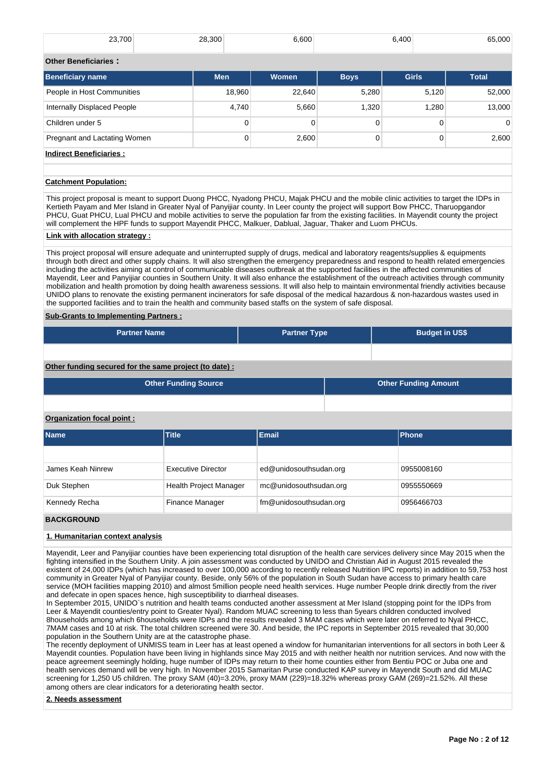| 23,700              | 28,300 | 6.600 | 6.400 | 65,000 |
|---------------------|--------|-------|-------|--------|
| Othor Ronoficiarios |        |       |       |        |

| <b>Beneficiary name</b>      | <b>Men</b> | <b>Women</b> | <b>Boys</b> | <b>Girls</b> | <b>Total</b> |  |  |
|------------------------------|------------|--------------|-------------|--------------|--------------|--|--|
| People in Host Communities   | 18,960     | 22,640       | 5,280       | 5,120        | 52,000       |  |  |
| Internally Displaced People  | 4,740      | 5,660        | 1.320       | 1.280        | 13,000       |  |  |
| Children under 5             | 0          |              | 0           |              | $\Omega$     |  |  |
| Pregnant and Lactating Women | 0          | 2,600        | 0           | 0            | 2,600        |  |  |
| - -- --                      |            |              |             |              |              |  |  |

## **Indirect Beneficiaries :**

## **Catchment Population:**

This project proposal is meant to support Duong PHCC, Nyadong PHCU, Majak PHCU and the mobile clinic activities to target the IDPs in Kertieth Payam and Mer Island in Greater Nyal of Panyijiar county. In Leer county the project will support Bow PHCC, Tharuopgandor PHCU, Guat PHCU, Lual PHCU and mobile activities to serve the population far from the existing facilities. In Mayendit county the project will complement the HPF funds to support Mayendit PHCC, Malkuer, Dablual, Jaguar, Thaker and Luom PHCUs.

## **Link with allocation strategy :**

This project proposal will ensure adequate and uninterrupted supply of drugs, medical and laboratory reagents/supplies & equipments through both direct and other supply chains. It will also strengthen the emergency preparedness and respond to health related emergencies including the activities aiming at control of communicable diseases outbreak at the supported facilities in the affected communities of Mayendit, Leer and Panyijiar counties in Southern Unity. It will also enhance the establishment of the outreach activities through community mobilization and health promotion by doing health awareness sessions. It will also help to maintain environmental friendly activities because UNIDO plans to renovate the existing permanent incinerators for safe disposal of the medical hazardous & non-hazardous wastes used in the supported facilities and to train the health and community based staffs on the system of safe disposal.

## **Sub-Grants to Implementing Partners :**

| <b>Partner Name</b>                                   | <b>Partner Type</b> | <b>Budget in US\$</b> |
|-------------------------------------------------------|---------------------|-----------------------|
|                                                       |                     |                       |
| Other funding secured for the same project (to date): |                     |                       |

| Other Funding Source | <b>Other Funding Amount</b> |
|----------------------|-----------------------------|
|                      |                             |

#### **Organization focal point :**

| <b>Name</b>       | Title                         | <b>Email</b>           | Phone      |
|-------------------|-------------------------------|------------------------|------------|
|                   |                               |                        |            |
| James Keah Ninrew | <b>Executive Director</b>     | ed@unidosouthsudan.org | 0955008160 |
| Duk Stephen       | <b>Health Project Manager</b> | mc@unidosouthsudan.org | 0955550669 |
| Kennedy Recha     | Finance Manager               | fm@unidosouthsudan.org | 0956466703 |

#### **BACKGROUND**

## **1. Humanitarian context analysis**

Mayendit, Leer and Panyijiar counties have been experiencing total disruption of the health care services delivery since May 2015 when the fighting intensified in the Southern Unity. A join assessment was conducted by UNIDO and Christian Aid in August 2015 revealed the existent of 24,000 IDPs (which has increased to over 100,000 according to recently released Nutrition IPC reports) in addition to 59,753 host community in Greater Nyal of Panyijiar county. Beside, only 56% of the population in South Sudan have access to primary health care service (MOH facilities mapping 2010) and almost 5million people need health services. Huge number People drink directly from the river and defecate in open spaces hence, high susceptibility to diarrheal diseases.

In September 2015, UNIDO`s nutrition and health teams conducted another assessment at Mer Island (stopping point for the IDPs from Leer & Mayendit counties/entry point to Greater Nyal). Random MUAC screening to less than 5years children conducted involved 8households among which 6households were IDPs and the results revealed 3 MAM cases which were later on referred to Nyal PHCC, 7MAM cases and 10 at risk. The total children screened were 30. And beside, the IPC reports in September 2015 revealed that 30,000 population in the Southern Unity are at the catastrophe phase.

The recently deployment of UNMISS team in Leer has at least opened a window for humanitarian interventions for all sectors in both Leer & Mayendit counties. Population have been living in highlands since May 2015 and with neither health nor nutrition services. And now with the peace agreement seemingly holding, huge number of IDPs may return to their home counties either from Bentiu POC or Juba one and health services demand will be very high. In November 2015 Samaritan Purse conducted KAP survey in Mayendit South and did MUAC screening for 1,250 U5 children. The proxy SAM (40)=3.20%, proxy MAM (229)=18.32% whereas proxy GAM (269)=21.52%. All these among others are clear indicators for a deteriorating health sector.

#### **2. Needs assessment**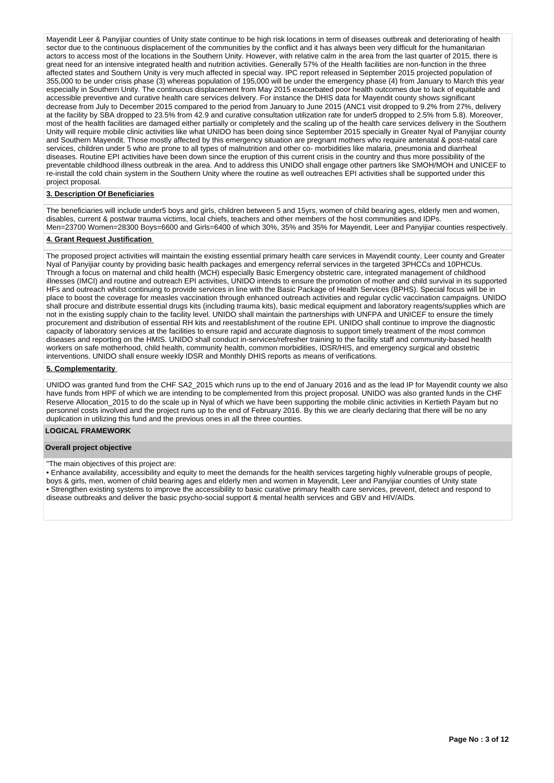Mayendit Leer & Panyijiar counties of Unity state continue to be high risk locations in term of diseases outbreak and deteriorating of health sector due to the continuous displacement of the communities by the conflict and it has always been very difficult for the humanitarian actors to access most of the locations in the Southern Unity. However, with relative calm in the area from the last quarter of 2015, there is great need for an intensive integrated health and nutrition activities. Generally 57% of the Health facilities are non-function in the three affected states and Southern Unity is very much affected in special way. IPC report released in September 2015 projected population of 355,000 to be under crisis phase (3) whereas population of 195,000 will be under the emergency phase (4) from January to March this year especially in Southern Unity. The continuous displacement from May 2015 exacerbated poor health outcomes due to lack of equitable and accessible preventive and curative health care services delivery. For instance the DHIS data for Mayendit county shows significant decrease from July to December 2015 compared to the period from January to June 2015 (ANC1 visit dropped to 9.2% from 27%, delivery at the facility by SBA dropped to 23.5% from 42.9 and curative consultation utilization rate for under5 dropped to 2.5% from 5.8). Moreover, most of the health facilities are damaged either partially or completely and the scaling up of the health care services delivery in the Southern Unity will require mobile clinic activities like what UNIDO has been doing since September 2015 specially in Greater Nyal of Panyijiar county and Southern Mayendit. Those mostly affected by this emergency situation are pregnant mothers who require antenatal & post-natal care services, children under 5 who are prone to all types of malnutrition and other co- morbidities like malaria, pneumonia and diarrheal diseases. Routine EPI activities have been down since the eruption of this current crisis in the country and thus more possibility of the preventable childhood illness outbreak in the area. And to address this UNIDO shall engage other partners like SMOH/MOH and UNICEF to re-install the cold chain system in the Southern Unity where the routine as well outreaches EPI activities shall be supported under this project proposal.

# **3. Description Of Beneficiaries**

The beneficiaries will include under5 boys and girls, children between 5 and 15yrs, women of child bearing ages, elderly men and women, disables, current & postwar trauma victims, local chiefs, teachers and other members of the host communities and IDPs. Men=23700 Women=28300 Boys=6600 and Girls=6400 of which 30%, 35% and 35% for Mayendit, Leer and Panyijiar counties respectively.

### **4. Grant Request Justification**

The proposed project activities will maintain the existing essential primary health care services in Mayendit county, Leer county and Greater Nyal of Panyijiar county by providing basic health packages and emergency referral services in the targeted 3PHCCs and 10PHCUs. Through a focus on maternal and child health (MCH) especially Basic Emergency obstetric care, integrated management of childhood illnesses (IMCI) and routine and outreach EPI activities, UNIDO intends to ensure the promotion of mother and child survival in its supported HFs and outreach whilst continuing to provide services in line with the Basic Package of Health Services (BPHS). Special focus will be in place to boost the coverage for measles vaccination through enhanced outreach activities and regular cyclic vaccination campaigns. UNIDO shall procure and distribute essential drugs kits (including trauma kits), basic medical equipment and laboratory reagents/supplies which are not in the existing supply chain to the facility level. UNIDO shall maintain the partnerships with UNFPA and UNICEF to ensure the timely procurement and distribution of essential RH kits and reestablishment of the routine EPI. UNIDO shall continue to improve the diagnostic capacity of laboratory services at the facilities to ensure rapid and accurate diagnosis to support timely treatment of the most common diseases and reporting on the HMIS. UNIDO shall conduct in-services/refresher training to the facility staff and community-based health workers on safe motherhood, child health, community health, common morbidities, IDSR/HIS, and emergency surgical and obstetric interventions. UNIDO shall ensure weekly IDSR and Monthly DHIS reports as means of verifications.

#### **5. Complementarity**

UNIDO was granted fund from the CHF SA2\_2015 which runs up to the end of January 2016 and as the lead IP for Mayendit county we also have funds from HPF of which we are intending to be complemented from this project proposal. UNIDO was also granted funds in the CHF Reserve Allocation\_2015 to do the scale up in Nyal of which we have been supporting the mobile clinic activities in Kertieth Payam but no personnel costs involved and the project runs up to the end of February 2016. By this we are clearly declaring that there will be no any duplication in utilizing this fund and the previous ones in all the three counties.

# **LOGICAL FRAMEWORK**

#### **Overall project objective**

## "The main objectives of this project are:

• Enhance availability, accessibility and equity to meet the demands for the health services targeting highly vulnerable groups of people, boys & girls, men, women of child bearing ages and elderly men and women in Mayendit, Leer and Panyijiar counties of Unity state • Strengthen existing systems to improve the accessibility to basic curative primary health care services, prevent, detect and respond to disease outbreaks and deliver the basic psycho-social support & mental health services and GBV and HIV/AIDs.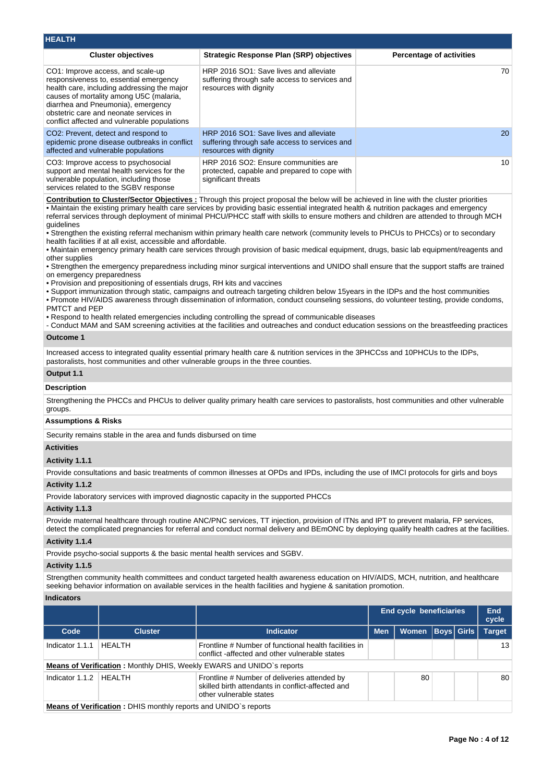| <b>HEALTH</b>                                                                                                                                                                                                                                                                                         |                                                                                                                   |                                 |
|-------------------------------------------------------------------------------------------------------------------------------------------------------------------------------------------------------------------------------------------------------------------------------------------------------|-------------------------------------------------------------------------------------------------------------------|---------------------------------|
| <b>Cluster objectives</b>                                                                                                                                                                                                                                                                             | <b>Strategic Response Plan (SRP) objectives</b>                                                                   | <b>Percentage of activities</b> |
| CO1: Improve access, and scale-up<br>responsiveness to, essential emergency<br>health care, including addressing the major<br>causes of mortality among U5C (malaria,<br>diarrhea and Pneumonia), emergency<br>obstetric care and neonate services in<br>conflict affected and vulnerable populations | HRP 2016 SO1: Save lives and alleviate<br>suffering through safe access to services and<br>resources with dignity | 70                              |
| CO <sub>2</sub> : Prevent, detect and respond to<br>epidemic prone disease outbreaks in conflict<br>affected and vulnerable populations                                                                                                                                                               | HRP 2016 SO1: Save lives and alleviate<br>suffering through safe access to services and<br>resources with dignity | 20                              |
| CO3: Improve access to psychosocial<br>support and mental health services for the<br>vulnerable population, including those<br>services related to the SGBV response                                                                                                                                  | HRP 2016 SO2: Ensure communities are<br>protected, capable and prepared to cope with<br>significant threats       | 10                              |

**Contribution to Cluster/Sector Objectives :** Through this project proposal the below will be achieved in line with the cluster priorities • Maintain the existing primary health care services by providing basic essential integrated health & nutrition packages and emergency referral services through deployment of minimal PHCU/PHCC staff with skills to ensure mothers and children are attended to through MCH guidelines

• Strengthen the existing referral mechanism within primary health care network (community levels to PHCUs to PHCCs) or to secondary health facilities if at all exist, accessible and affordable.

• Maintain emergency primary health care services through provision of basic medical equipment, drugs, basic lab equipment/reagents and other supplies

• Strengthen the emergency preparedness including minor surgical interventions and UNIDO shall ensure that the support staffs are trained on emergency preparedness

• Provision and prepositioning of essentials drugs, RH kits and vaccines

• Support immunization through static, campaigns and outreach targeting children below 15years in the IDPs and the host communities

• Promote HIV/AIDS awareness through dissemination of information, conduct counseling sessions, do volunteer testing, provide condoms, PMTCT and PEP

• Respond to health related emergencies including controlling the spread of communicable diseases

- Conduct MAM and SAM screening activities at the facilities and outreaches and conduct education sessions on the breastfeeding practices

# **Outcome 1**

Increased access to integrated quality essential primary health care & nutrition services in the 3PHCCss and 10PHCUs to the IDPs. pastoralists, host communities and other vulnerable groups in the three counties.

#### **Output 1.1**

#### **Description**

Strengthening the PHCCs and PHCUs to deliver quality primary health care services to pastoralists, host communities and other vulnerable groups.

# **Assumptions & Risks**

Security remains stable in the area and funds disbursed on time

## **Activities**

## **Activity 1.1.1**

Provide consultations and basic treatments of common illnesses at OPDs and IPDs, including the use of IMCI protocols for girls and boys

## **Activity 1.1.2**

Provide laboratory services with improved diagnostic capacity in the supported PHCCs

#### **Activity 1.1.3**

Provide maternal healthcare through routine ANC/PNC services, TT injection, provision of ITNs and IPT to prevent malaria, FP services, detect the complicated pregnancies for referral and conduct normal delivery and BEmONC by deploying qualify health cadres at the facilities.

## **Activity 1.1.4**

Provide psycho-social supports & the basic mental health services and SGBV.

#### **Activity 1.1.5**

Strengthen community health committees and conduct targeted health awareness education on HIV/AIDS, MCH, nutrition, and healthcare seeking behavior information on available services in the health facilities and hygiene & sanitation promotion.

#### **Indicators**

|                   |                                                                              |                                                                                                                              | <b>End cycle beneficiaries</b> |                  |  | End<br>cycle |               |  |  |
|-------------------|------------------------------------------------------------------------------|------------------------------------------------------------------------------------------------------------------------------|--------------------------------|------------------|--|--------------|---------------|--|--|
| Code              | <b>Cluster</b>                                                               | <b>Indicator</b>                                                                                                             | <b>Men</b>                     | Women Boys Girls |  |              | <b>Target</b> |  |  |
| Indicator 1.1.1   | HFAI TH                                                                      | Frontline # Number of functional health facilities in<br>conflict-affected and other vulnerable states                       |                                |                  |  |              | 13            |  |  |
|                   | <b>Means of Verification:</b> Monthly DHIS, Weekly EWARS and UNIDO's reports |                                                                                                                              |                                |                  |  |              |               |  |  |
| Indicator $1.1.2$ | I HFAI TH                                                                    | Frontline # Number of deliveries attended by<br>skilled birth attendants in conflict-affected and<br>other vulnerable states |                                | 80               |  |              | 80            |  |  |
|                   | <b>Means of Verification:</b> DHIS monthly reports and UNIDO's reports       |                                                                                                                              |                                |                  |  |              |               |  |  |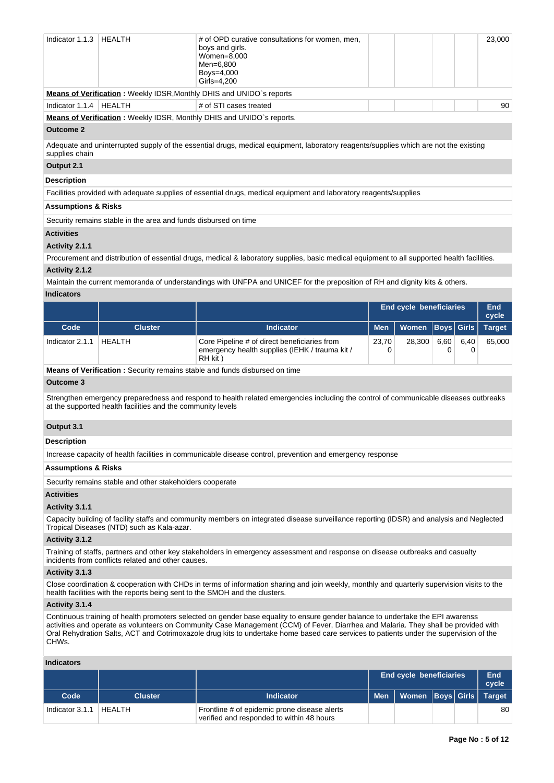| Indicator 1.1.3                                                                                                                                        | HEALTH                                                                      | # of OPD curative consultations for women, men,<br>boys and girls.<br>Women=8,000<br>Men=6.800<br>Boys=4,000<br>Girls=4.200 |  |  |  | 23,000 |
|--------------------------------------------------------------------------------------------------------------------------------------------------------|-----------------------------------------------------------------------------|-----------------------------------------------------------------------------------------------------------------------------|--|--|--|--------|
|                                                                                                                                                        | <b>Means of Verification: Weekly IDSR, Monthly DHIS and UNIDO's reports</b> |                                                                                                                             |  |  |  |        |
| Indicator $1.1.4$                                                                                                                                      | HEALTH                                                                      | # of STI cases treated                                                                                                      |  |  |  | 90     |
|                                                                                                                                                        |                                                                             | <b>Means of Verification: Weekly IDSR, Monthly DHIS and UNIDO's reports.</b>                                                |  |  |  |        |
| <b>Outcome 2</b>                                                                                                                                       |                                                                             |                                                                                                                             |  |  |  |        |
| Adequate and uninterrupted supply of the essential drugs, medical equipment, laboratory reagents/supplies which are not the existing<br>supplies chain |                                                                             |                                                                                                                             |  |  |  |        |
| Output 2.1                                                                                                                                             |                                                                             |                                                                                                                             |  |  |  |        |
| <b>Description</b>                                                                                                                                     |                                                                             |                                                                                                                             |  |  |  |        |

Facilities provided with adequate supplies of essential drugs, medical equipment and laboratory reagents/supplies

# **Assumptions & Risks**

Security remains stable in the area and funds disbursed on time

## **Activities**

#### **Activity 2.1.1**

Procurement and distribution of essential drugs, medical & laboratory supplies, basic medical equipment to all supported health facilities.

# **Activity 2.1.2**

Maintain the current memoranda of understandings with UNFPA and UNICEF for the preposition of RH and dignity kits & others. **Indicators**

|                 |                |                                                                                                           | <b>End cycle beneficiaries</b> |                      |      | End<br>cycle |               |
|-----------------|----------------|-----------------------------------------------------------------------------------------------------------|--------------------------------|----------------------|------|--------------|---------------|
| Code            | <b>Cluster</b> | <b>Indicator</b>                                                                                          | Men                            | Women   Boys   Girls |      |              | <b>Target</b> |
| Indicator 2.1.1 | HEALTH         | Core Pipeline # of direct beneficiaries from<br>emergency health supplies (IEHK / trauma kit /<br>RH kit) | 23.70                          | 28.300               | 6.60 | 6.40         | 65.000        |
|                 |                | <b>Alleges of Medification - Openation and the stability of Linds altabased as the</b>                    |                                |                      |      |              |               |

**Means of Verification :** Security remains stable and funds disbursed on time

# **Outcome 3**

Strengthen emergency preparedness and respond to health related emergencies including the control of communicable diseases outbreaks at the supported health facilities and the community levels

## **Output 3.1**

# **Description**

Increase capacity of health facilities in communicable disease control, prevention and emergency response

#### **Assumptions & Risks**

Security remains stable and other stakeholders cooperate

## **Activities**

#### **Activity 3.1.1**

Capacity building of facility staffs and community members on integrated disease surveillance reporting (IDSR) and analysis and Neglected Tropical Diseases (NTD) such as Kala-azar.

#### **Activity 3.1.2**

Training of staffs, partners and other key stakeholders in emergency assessment and response on disease outbreaks and casualty incidents from conflicts related and other causes.

# **Activity 3.1.3**

Close coordination & cooperation with CHDs in terms of information sharing and join weekly, monthly and quarterly supervision visits to the health facilities with the reports being sent to the SMOH and the clusters.

# **Activity 3.1.4**

Continuous training of health promoters selected on gender base equality to ensure gender balance to undertake the EPI awarenss activities and operate as volunteers on Community Case Management (CCM) of Fever, Diarrhea and Malaria. They shall be provided with Oral Rehydration Salts, ACT and Cotrimoxazole drug kits to undertake home based care services to patients under the supervision of the CHWs.

#### **Indicators**

|                 |                |                                                                                           | End cycle beneficiaries           |                         |  | End<br>cycle |    |
|-----------------|----------------|-------------------------------------------------------------------------------------------|-----------------------------------|-------------------------|--|--------------|----|
| Code            | <b>Cluster</b> | <b>Indicator</b>                                                                          | $\blacksquare$ Men $\blacksquare$ | Women Boys Girls Target |  |              |    |
| Indicator 3.1.1 | HFAI TH        | Frontline # of epidemic prone disease alerts<br>verified and responded to within 48 hours |                                   |                         |  |              | 80 |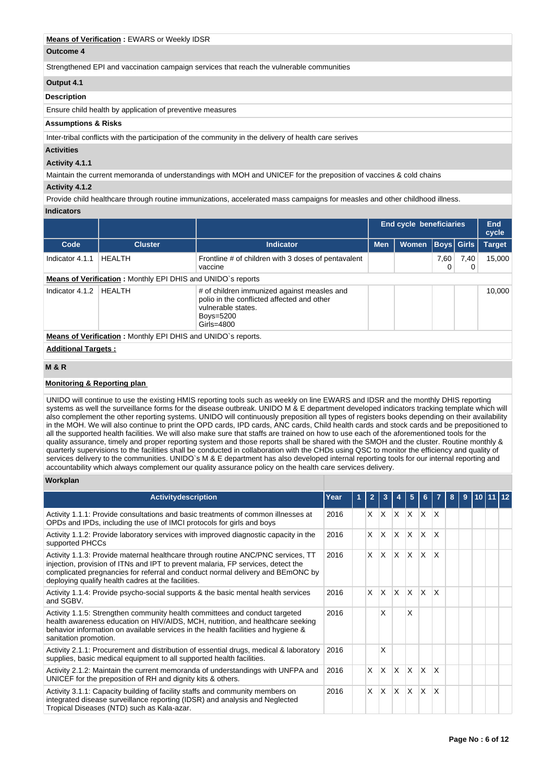## **Means of Verification :** EWARS or Weekly IDSR

#### **Outcome 4**

Strengthened EPI and vaccination campaign services that reach the vulnerable communities

## **Output 4.1**

#### **Description**

Ensure child health by application of preventive measures

#### **Assumptions & Risks**

Inter-tribal conflicts with the participation of the community in the delivery of health care serives

## **Activities**

#### **Activity 4.1.1**

Maintain the current memoranda of understandings with MOH and UNICEF for the preposition of vaccines & cold chains

# **Activity 4.1.2**

Provide child healthcare through routine immunizations, accelerated mass campaigns for measles and other childhood illness. **Indicators**

|                            |                                                                     |                                                                                                                                            | <b>End cycle beneficiaries</b> | End<br>cycle |                   |           |               |
|----------------------------|---------------------------------------------------------------------|--------------------------------------------------------------------------------------------------------------------------------------------|--------------------------------|--------------|-------------------|-----------|---------------|
| Code                       | <b>Cluster</b>                                                      | <b>Indicator</b>                                                                                                                           | <b>Men</b>                     | Women        | <b>Boys</b> Girls |           | <b>Target</b> |
| Indicator 4.1.1            | <b>HEALTH</b>                                                       | Frontline # of children with 3 doses of pentavalent<br>vaccine                                                                             |                                |              | 7,60<br>0         | 7,40<br>0 | 15,000        |
|                            | Means of Verification: Monthly EPI DHIS and UNIDO's reports         |                                                                                                                                            |                                |              |                   |           |               |
| Indicator 4.1.2            | <b>HEALTH</b>                                                       | # of children immunized against measles and<br>polio in the conflicted affected and other<br>vulnerable states.<br>Boys=5200<br>Girls=4800 |                                |              | 10,000            |           |               |
|                            | <b>Means of Verification:</b> Monthly EPI DHIS and UNIDO's reports. |                                                                                                                                            |                                |              |                   |           |               |
| <b>Additional Targets:</b> |                                                                     |                                                                                                                                            |                                |              |                   |           |               |
| <b>M&amp;R</b>             |                                                                     |                                                                                                                                            |                                |              |                   |           |               |

## **Monitoring & Reporting plan**

UNIDO will continue to use the existing HMIS reporting tools such as weekly on line EWARS and IDSR and the monthly DHIS reporting systems as well the surveillance forms for the disease outbreak. UNIDO M & E department developed indicators tracking template which will also complement the other reporting systems. UNIDO will continuously preposition all types of registers books depending on their availability in the MOH. We will also continue to print the OPD cards, IPD cards, ANC cards, Child health cards and stock cards and be prepositioned to all the supported health facilities. We will also make sure that staffs are trained on how to use each of the aforementioned tools for the quality assurance, timely and proper reporting system and those reports shall be shared with the SMOH and the cluster. Routine monthly & quarterly supervisions to the facilities shall be conducted in collaboration with the CHDs using QSC to monitor the efficiency and quality of services delivery to the communities. UNIDO`s M & E department has also developed internal reporting tools for our internal reporting and accountability which always complement our quality assurance policy on the health care services delivery.

### **Workplan**

| <b>Activity description</b>                                                                                                                                                                                                                                                                                  | Year       |  |            |              |              | 5            |              |                         | 8 | 9 | 10 |  |
|--------------------------------------------------------------------------------------------------------------------------------------------------------------------------------------------------------------------------------------------------------------------------------------------------------------|------------|--|------------|--------------|--------------|--------------|--------------|-------------------------|---|---|----|--|
| Activity 1.1.1: Provide consultations and basic treatments of common illnesses at<br>OPDs and IPDs, including the use of IMCI protocols for girls and boys                                                                                                                                                   | 2016       |  | X.         | $\mathsf{X}$ | $X$ $X$      |              | ΙX.          | ΙX                      |   |   |    |  |
| Activity 1.1.2: Provide laboratory services with improved diagnostic capacity in the<br>supported PHCCs                                                                                                                                                                                                      | 2016       |  | X.         | ΙX.          | IX.          | <b>X</b>     | $\mathsf{x}$ | X                       |   |   |    |  |
| Activity 1.1.3: Provide maternal healthcare through routine ANC/PNC services, TT<br>injection, provision of ITNs and IPT to prevent malaria, FP services, detect the<br>complicated pregnancies for referral and conduct normal delivery and BEmONC by<br>deploying qualify health cadres at the facilities. | 2016       |  | $x \mid x$ |              | $\mathsf{X}$ | $\mathsf{x}$ | $\mathsf{x}$ | $\overline{\mathsf{x}}$ |   |   |    |  |
| Activity 1.1.4: Provide psycho-social supports & the basic mental health services<br>and SGBV.                                                                                                                                                                                                               | X.<br>2016 |  |            | $\mathsf{X}$ | $\mathsf{X}$ | $\times$     | $\mathsf{X}$ | $\mathsf{x}$            |   |   |    |  |
| Activity 1.1.5: Strengthen community health committees and conduct targeted<br>health awareness education on HIV/AIDS, MCH, nutrition, and healthcare seeking<br>behavior information on available services in the health facilities and hygiene &<br>sanitation promotion.                                  | 2016       |  |            | X            |              | X            |              |                         |   |   |    |  |
| Activity 2.1.1: Procurement and distribution of essential drugs, medical & laboratory<br>supplies, basic medical equipment to all supported health facilities.                                                                                                                                               | 2016       |  |            | X            |              |              |              |                         |   |   |    |  |
| Activity 2.1.2: Maintain the current memoranda of understandings with UNFPA and<br>UNICEF for the preposition of RH and dignity kits & others.                                                                                                                                                               | 2016       |  | $\times$   | $\mathsf{X}$ | $\mathsf{X}$ | $\mathsf{x}$ | <sup>X</sup> | $\mathsf{x}$            |   |   |    |  |
| Activity 3.1.1: Capacity building of facility staffs and community members on<br>integrated disease surveillance reporting (IDSR) and analysis and Neglected<br>Tropical Diseases (NTD) such as Kala-azar.                                                                                                   | 2016       |  | X.         | X.           | X.           | $\times$     | X            | $\mathsf{x}$            |   |   |    |  |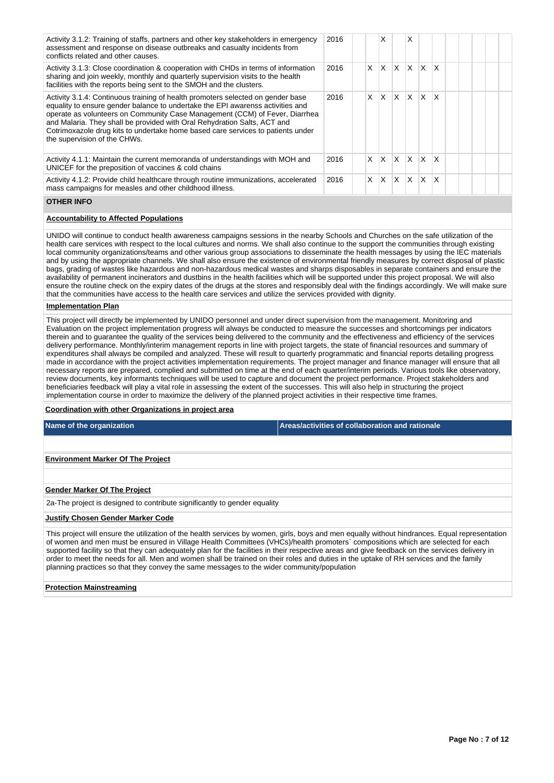| Activity 3.1.2: Training of staffs, partners and other key stakeholders in emergency<br>assessment and response on disease outbreaks and casualty incidents from<br>conflicts related and other causes.                                                                                                                                                                                                                                         | 2016 |    | X            |              | X            |          |              |  |  |
|-------------------------------------------------------------------------------------------------------------------------------------------------------------------------------------------------------------------------------------------------------------------------------------------------------------------------------------------------------------------------------------------------------------------------------------------------|------|----|--------------|--------------|--------------|----------|--------------|--|--|
| Activity 3.1.3: Close coordination & cooperation with CHDs in terms of information<br>sharing and join weekly, monthly and quarterly supervision visits to the health<br>facilities with the reports being sent to the SMOH and the clusters.                                                                                                                                                                                                   | 2016 | X. | X            | $\mathsf{x}$ | X.           | $\times$ | $\mathsf{x}$ |  |  |
| Activity 3.1.4: Continuous training of health promoters selected on gender base<br>equality to ensure gender balance to undertake the EPI awarenss activities and<br>operate as volunteers on Community Case Management (CCM) of Fever, Diarrhea<br>and Malaria. They shall be provided with Oral Rehydration Salts, ACT and<br>Cotrimoxazole drug kits to undertake home based care services to patients under<br>the supervision of the CHWs. | 2016 | X  | $\mathsf{x}$ | X.           | ΙX           | X        | $\mathsf{x}$ |  |  |
| Activity 4.1.1: Maintain the current memoranda of understandings with MOH and<br>UNICEF for the preposition of vaccines & cold chains                                                                                                                                                                                                                                                                                                           | 2016 | X. | X            | X            | $\mathsf{x}$ | $\times$ | ΙX           |  |  |
| Activity 4.1.2: Provide child healthcare through routine immunizations, accelerated<br>mass campaigns for measles and other childhood illness.                                                                                                                                                                                                                                                                                                  | 2016 | X  | X            | X            | $\times$     | X        | X            |  |  |

#### **OTHER INFO**

## **Accountability to Affected Populations**

UNIDO will continue to conduct health awareness campaigns sessions in the nearby Schools and Churches on the safe utilization of the health care services with respect to the local cultures and norms. We shall also continue to the support the communities through existing local community organizations/teams and other various group associations to disseminate the health messages by using the IEC materials and by using the appropriate channels. We shall also ensure the existence of environmental friendly measures by correct disposal of plastic bags, grading of wastes like hazardous and non-hazardous medical wastes and sharps disposables in separate containers and ensure the availability of permanent incinerators and dustbins in the health facilities which will be supported under this project proposal. We will also ensure the routine check on the expiry dates of the drugs at the stores and responsibly deal with the findings accordingly. We will make sure that the communities have access to the health care services and utilize the services provided with dignity.

#### **Implementation Plan**

This project will directly be implemented by UNIDO personnel and under direct supervision from the management. Monitoring and Evaluation on the project implementation progress will always be conducted to measure the successes and shortcomings per indicators therein and to guarantee the quality of the services being delivered to the community and the effectiveness and efficiency of the services delivery performance. Monthly/interim management reports in line with project targets, the state of financial resources and summary of expenditures shall always be compiled and analyzed. These will result to quarterly programmatic and financial reports detailing progress made in accordance with the project activities implementation requirements. The project manager and finance manager will ensure that all necessary reports are prepared, complied and submitted on time at the end of each quarter/interim periods. Various tools like observatory, review documents, key informants techniques will be used to capture and document the project performance. Project stakeholders and beneficiaries feedback will play a vital role in assessing the extent of the successes. This will also help in structuring the project implementation course in order to maximize the delivery of the planned project activities in their respective time frames.

#### **Coordination with other Organizations in project area**

**Name of the organization Areas/activities of collaboration and rationale** 

#### **Environment Marker Of The Project**

#### **Gender Marker Of The Project**

2a-The project is designed to contribute significantly to gender equality

#### **Justify Chosen Gender Marker Code**

This project will ensure the utilization of the health services by women, girls, boys and men equally without hindrances. Equal representation of women and men must be ensured in Village Health Committees (VHCs)/health promoters` compositions which are selected for each supported facility so that they can adequately plan for the facilities in their respective areas and give feedback on the services delivery in order to meet the needs for all. Men and women shall be trained on their roles and duties in the uptake of RH services and the family planning practices so that they convey the same messages to the wider community/population

#### **Protection Mainstreaming**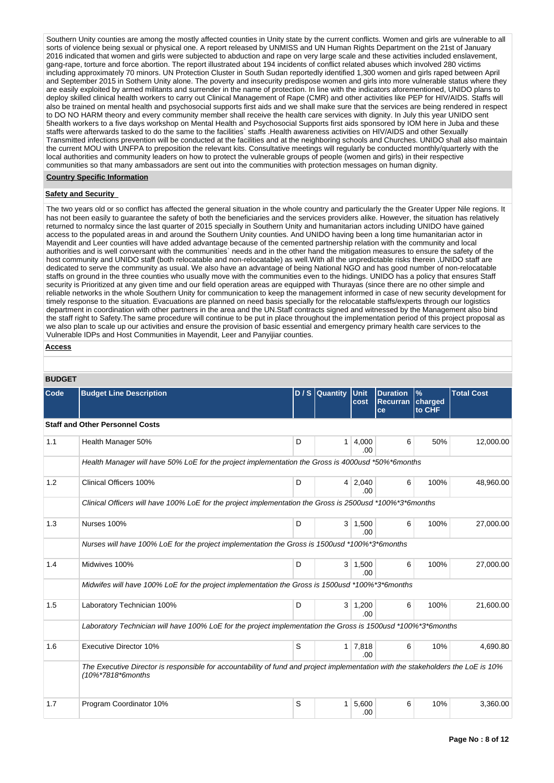Southern Unity counties are among the mostly affected counties in Unity state by the current conflicts. Women and girls are vulnerable to all sorts of violence being sexual or physical one. A report released by UNMISS and UN Human Rights Department on the 21st of January 2016 indicated that women and girls were subjected to abduction and rape on very large scale and these activities included enslavement, gang-rape, torture and force abortion. The report illustrated about 194 incidents of conflict related abuses which involved 280 victims including approximately 70 minors. UN Protection Cluster in South Sudan reportedly identified 1,300 women and girls raped between April and September 2015 in Sothern Unity alone. The poverty and insecurity predispose women and girls into more vulnerable status where they are easily exploited by armed militants and surrender in the name of protection. In line with the indicators aforementioned, UNIDO plans to deploy skilled clinical health workers to carry out Clinical Management of Rape (CMR) and other activities like PEP for HIV/AIDS. Staffs will also be trained on mental health and psychosocial supports first aids and we shall make sure that the services are being rendered in respect to DO NO HARM theory and every community member shall receive the health care services with dignity. In July this year UNIDO sent 5health workers to a five days workshop on Mental Health and Psychosocial Supports first aids sponsored by IOM here in Juba and these staffs were afterwards tasked to do the same to the facilities` staffs .Health awareness activities on HIV/AIDS and other Sexually Transmitted infections prevention will be conducted at the facilities and at the neighboring schools and Churches. UNIDO shall also maintain the current MOU with UNFPA to preposition the relevant kits. Consultative meetings will regularly be conducted monthly/quarterly with the local authorities and community leaders on how to protect the vulnerable groups of people (women and girls) in their respective communities so that many ambassadors are sent out into the communities with protection messages on human dignity.

#### **Country Specific Information**

## **Safety and Security**

The two years old or so conflict has affected the general situation in the whole country and particularly the the Greater Upper Nile regions. It has not been easily to guarantee the safety of both the beneficiaries and the services providers alike. However, the situation has relatively returned to normalcy since the last quarter of 2015 specially in Southern Unity and humanitarian actors including UNIDO have gained access to the populated areas in and around the Southern Unity counties. And UNIDO having been a long time humanitarian actor in Mayendit and Leer counties will have added advantage because of the cemented partnership relation with the community and local authorities and is well conversant with the communities` needs and in the other hand the mitigation measures to ensure the safety of the host community and UNIDO staff (both relocatable and non-relocatable) as well.With all the unpredictable risks therein ,UNIDO staff are dedicated to serve the community as usual. We also have an advantage of being National NGO and has good number of non-relocatable staffs on ground in the three counties who usually move with the communities even to the hidings. UNIDO has a policy that ensures Staff security is Prioritized at any given time and our field operation areas are equipped with Thurayas (since there are no other simple and reliable networks in the whole Southern Unity for communication to keep the management informed in case of new security development for timely response to the situation. Evacuations are planned on need basis specially for the relocatable staffs/experts through our logistics department in coordination with other partners in the area and the UN.Staff contracts signed and witnessed by the Management also bind the staff right to Safety.The same procedure will continue to be put in place throughout the implementation period of this project proposal as we also plan to scale up our activities and ensure the provision of basic essential and emergency primary health care services to the Vulnerable IDPs and Host Communities in Mayendit, Leer and Panyijiar counties.

## **Access**

| <b>BUDGET</b> |  |
|---------------|--|

| BUDGEI |                                                                                                                                                        |   |                |                       |                                          |                           |                   |
|--------|--------------------------------------------------------------------------------------------------------------------------------------------------------|---|----------------|-----------------------|------------------------------------------|---------------------------|-------------------|
| Code   | <b>Budget Line Description</b>                                                                                                                         |   | D / S Quantity | <b>Unit</b><br>cost   | <b>Duration</b><br><b>Recurran</b><br>ce | $\%$<br>charged<br>to CHF | <b>Total Cost</b> |
|        | <b>Staff and Other Personnel Costs</b>                                                                                                                 |   |                |                       |                                          |                           |                   |
| 1.1    | Health Manager 50%                                                                                                                                     | D | $\mathbf{1}$   | 4,000<br>.00          | 6                                        | 50%                       | 12,000.00         |
|        | Health Manager will have 50% LoE for the project implementation the Gross is 4000usd *50%*6months                                                      |   |                |                       |                                          |                           |                   |
| 1.2    | Clinical Officers 100%                                                                                                                                 | D | $\overline{4}$ | 2,040<br>.00          | 6                                        | 100%                      | 48,960.00         |
|        | Clinical Officers will have 100% LoE for the project implementation the Gross is 2500usd *100%*3*6months                                               |   |                |                       |                                          |                           |                   |
| 1.3    | Nurses 100%                                                                                                                                            | D |                | $3 \mid 1,500$<br>.00 | 6                                        | 100%                      | 27,000.00         |
|        | Nurses will have 100% LoE for the project implementation the Gross is 1500usd *100%*3*6months                                                          |   |                |                       |                                          |                           |                   |
| 1.4    | Midwives 100%                                                                                                                                          | D | 3 <sup>1</sup> | 1,500<br>.00          | 6                                        | 100%                      | 27,000.00         |
|        | Midwifes will have 100% LoE for the project implementation the Gross is 1500usd *100%*3*6months                                                        |   |                |                       |                                          |                           |                   |
| 1.5    | Laboratory Technician 100%                                                                                                                             | D |                | $3 \mid 1,200$<br>.00 | 6                                        | 100%                      | 21,600.00         |
|        | Laboratory Technician will have 100% LoE for the project implementation the Gross is 1500usd *100%*3*6months                                           |   |                |                       |                                          |                           |                   |
| 1.6    | <b>Executive Director 10%</b>                                                                                                                          | S |                | $1 \mid 7,818$<br>.00 | 6                                        | 10%                       | 4,690.80          |
|        | The Executive Director is responsible for accountability of fund and project implementation with the stakeholders the LoE is 10%<br>(10%*7818*6months) |   |                |                       |                                          |                           |                   |
| 1.7    | Program Coordinator 10%                                                                                                                                | S | 1              | 5,600<br>.00          | 6                                        | 10%                       | 3,360.00          |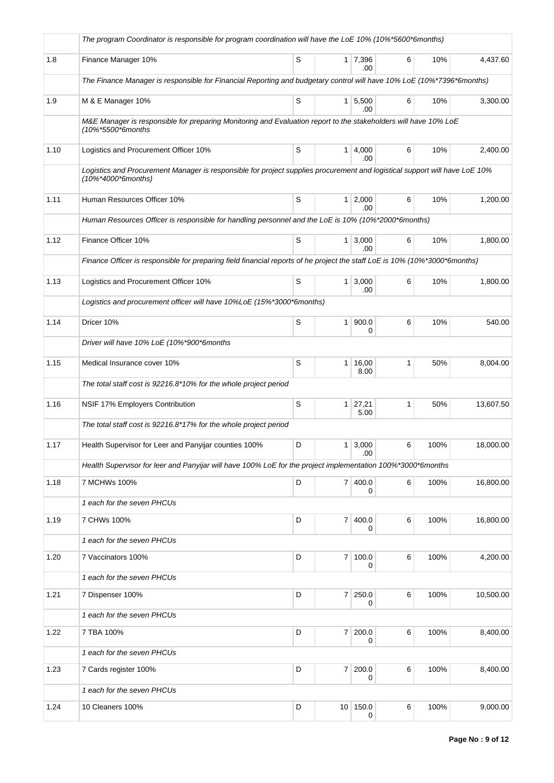|      | The program Coordinator is responsible for program coordination will have the LoE 10% (10%*5600*6months)                                         |   |                |                             |              |      |           |
|------|--------------------------------------------------------------------------------------------------------------------------------------------------|---|----------------|-----------------------------|--------------|------|-----------|
| 1.8  | Finance Manager 10%                                                                                                                              | S |                | 1 7,396<br>.00              | 6            | 10%  | 4,437.60  |
|      | The Finance Manager is responsible for Financial Reporting and budgetary control will have 10% LoE (10%*7396*6months)                            |   |                |                             |              |      |           |
| 1.9  | M & E Manager 10%                                                                                                                                | S |                | $1 \overline{5,500}$<br>.00 | 6            | 10%  | 3,300.00  |
|      | M&E Manager is responsible for preparing Monitoring and Evaluation report to the stakeholders will have 10% LoE<br>(10%*5500*6months             |   |                |                             |              |      |           |
| 1.10 | Logistics and Procurement Officer 10%                                                                                                            | S |                | 1   4,000<br>.00            | 6            | 10%  | 2,400.00  |
|      | Logistics and Procurement Manager is responsible for project supplies procurement and logistical support will have LoE 10%<br>(10%*4000*6months) |   |                |                             |              |      |           |
| 1.11 | Human Resources Officer 10%                                                                                                                      | S |                | $1 \ 2,000$<br>.00          | 6            | 10%  | 1,200.00  |
|      | Human Resources Officer is responsible for handling personnel and the LoE is 10% (10%*2000*6months)                                              |   |                |                             |              |      |           |
| 1.12 | Finance Officer 10%                                                                                                                              | S |                | $1 \mid 3,000$<br>.00       | 6            | 10%  | 1,800.00  |
|      | Finance Officer is responsible for preparing field financial reports of he project the staff LoE is 10% (10%*3000*6months)                       |   |                |                             |              |      |           |
| 1.13 | Logistics and Procurement Officer 10%                                                                                                            | S |                | $1 \mid 3,000$<br>.00       | 6            | 10%  | 1,800.00  |
|      | Logistics and procurement officer will have 10%LoE (15%*3000*6months)                                                                            |   |                |                             |              |      |           |
| 1.14 | Dricer 10%                                                                                                                                       | S | 1 <sup>1</sup> | 900.0<br>0                  | 6            | 10%  | 540.00    |
|      | Driver will have 10% LoE (10%*900*6months                                                                                                        |   |                |                             |              |      |           |
| 1.15 | Medical Insurance cover 10%                                                                                                                      | S | 1 <sup>1</sup> | 16,00<br>8.00               | 1            | 50%  | 8,004.00  |
|      | The total staff cost is 92216.8*10% for the whole project period                                                                                 |   |                |                             |              |      |           |
| 1.16 | NSIF 17% Employers Contribution                                                                                                                  | S |                | $1 \mid 27,21$<br>5.00      | $\mathbf{1}$ | 50%  | 13,607.50 |
|      | The total staff cost is 92216.8*17% for the whole project period                                                                                 |   |                |                             |              |      |           |
| 1.17 | Health Supervisor for Leer and Panyijar counties 100%                                                                                            | D |                | $1 \mid 3,000$<br>.00       | 6            | 100% | 18,000.00 |
|      | Health Supervisor for leer and Panyijar will have 100% LoE for the project implementation 100%*3000*6months                                      |   |                |                             |              |      |           |
| 1.18 | 7 MCHWs 100%                                                                                                                                     | D |                | 7 400.0<br>$\Omega$         | 6            | 100% | 16,800.00 |
|      | 1 each for the seven PHCUs                                                                                                                       |   |                |                             |              |      |           |
| 1.19 | 7 CHWs 100%                                                                                                                                      | D |                | 7 400.0<br>0                | 6            | 100% | 16,800.00 |
|      | 1 each for the seven PHCUs                                                                                                                       |   |                |                             |              |      |           |
| 1.20 | 7 Vaccinators 100%                                                                                                                               | D | 7 <sup>1</sup> | 100.0<br>0                  | 6            | 100% | 4,200.00  |
|      | 1 each for the seven PHCUs                                                                                                                       |   |                |                             |              |      |           |
| 1.21 | 7 Dispenser 100%                                                                                                                                 | D |                | 7 250.0<br>0                | 6            | 100% | 10,500.00 |
|      | 1 each for the seven PHCUs                                                                                                                       |   |                |                             |              |      |           |
| 1.22 | 7 TBA 100%                                                                                                                                       | D |                | 7 200.0<br>0                | 6            | 100% | 8,400.00  |
|      | 1 each for the seven PHCUs                                                                                                                       |   |                |                             |              |      |           |
| 1.23 | 7 Cards register 100%                                                                                                                            | D |                | 7 200.0<br>0                | 6            | 100% | 8,400.00  |
|      | 1 each for the seven PHCUs                                                                                                                       |   |                |                             |              |      |           |
| 1.24 | 10 Cleaners 100%                                                                                                                                 | D |                | 10 150.0<br>0               | 6            | 100% | 9,000.00  |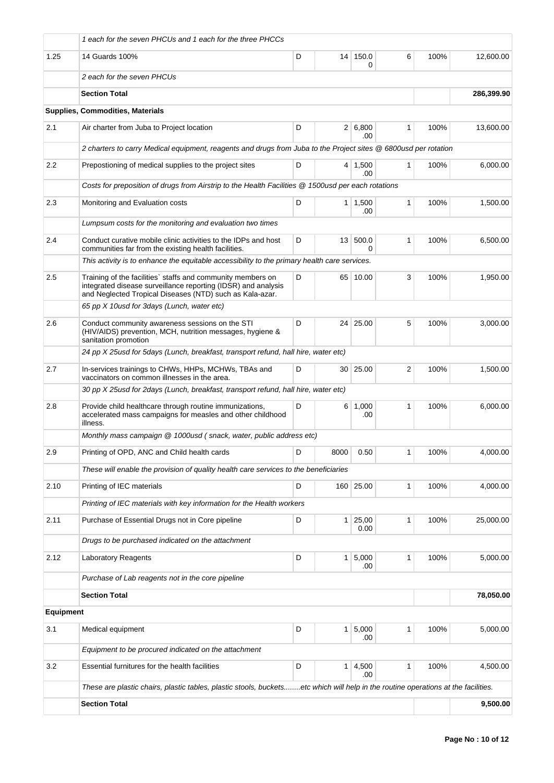|                  | 1 each for the seven PHCUs and 1 each for the three PHCCs                                                                                                                                |   |                 |                       |              |      |            |
|------------------|------------------------------------------------------------------------------------------------------------------------------------------------------------------------------------------|---|-----------------|-----------------------|--------------|------|------------|
| 1.25             | 14 Guards 100%                                                                                                                                                                           | D |                 | 14 150.0<br>0         | 6            | 100% | 12,600.00  |
|                  | 2 each for the seven PHCUs                                                                                                                                                               |   |                 |                       |              |      |            |
|                  | <b>Section Total</b>                                                                                                                                                                     |   |                 |                       |              |      | 286,399.90 |
|                  | <b>Supplies, Commodities, Materials</b>                                                                                                                                                  |   |                 |                       |              |      |            |
| 2.1              | Air charter from Juba to Project location                                                                                                                                                | D |                 | 2 6,800<br>.00        | $\mathbf{1}$ | 100% | 13,600.00  |
|                  | 2 charters to carry Medical equipment, reagents and drugs from Juba to the Project sites @ 6800usd per rotation                                                                          |   |                 |                       |              |      |            |
| 2.2              | Prepostioning of medical supplies to the project sites                                                                                                                                   | D |                 | $4 \mid 1,500$<br>.00 | 1            | 100% | 6,000.00   |
|                  | Costs for preposition of drugs from Airstrip to the Health Facilities @ 1500usd per each rotations                                                                                       |   |                 |                       |              |      |            |
| 2.3              | Monitoring and Evaluation costs                                                                                                                                                          | D |                 | $1 \mid 1,500$<br>.00 | 1            | 100% | 1,500.00   |
|                  | Lumpsum costs for the monitoring and evaluation two times                                                                                                                                |   |                 |                       |              |      |            |
| 2.4              | Conduct curative mobile clinic activities to the IDPs and host<br>communities far from the existing health facilities.                                                                   | D | 13 <sup>1</sup> | 500.0<br>0            | 1            | 100% | 6,500.00   |
|                  | This activity is to enhance the equitable accessibility to the primary health care services.                                                                                             |   |                 |                       |              |      |            |
| 2.5              | Training of the facilities' staffs and community members on<br>integrated disease surveillance reporting (IDSR) and analysis<br>and Neglected Tropical Diseases (NTD) such as Kala-azar. | D |                 | 65 10.00              | 3            | 100% | 1,950.00   |
|                  | 65 pp X 10 usd for 3 days (Lunch, water etc)                                                                                                                                             |   |                 |                       |              |      |            |
| 2.6              | Conduct community awareness sessions on the STI<br>(HIV/AIDS) prevention, MCH, nutrition messages, hygiene &<br>sanitation promotion                                                     | D |                 | 24 25.00              | 5            | 100% | 3,000.00   |
|                  | 24 pp X 25usd for 5days (Lunch, breakfast, transport refund, hall hire, water etc)                                                                                                       |   |                 |                       |              |      |            |
| 2.7              | In-services trainings to CHWs, HHPs, MCHWs, TBAs and<br>vaccinators on common illnesses in the area.                                                                                     | D | 30 <sup>1</sup> | 25.00                 | 2            | 100% | 1,500.00   |
|                  | 30 pp X 25usd for 2days (Lunch, breakfast, transport refund, hall hire, water etc)                                                                                                       |   |                 |                       |              |      |            |
| 2.8              | Provide child healthcare through routine immunizations,<br>accelerated mass campaigns for measles and other childhood<br>illness.                                                        | D |                 | 6 1,000<br>.00        | 1            | 100% | 6,000.00   |
|                  | Monthly mass campaign @ 1000usd (snack, water, public address etc)                                                                                                                       |   |                 |                       |              |      |            |
| 2.9              | Printing of OPD, ANC and Child health cards                                                                                                                                              | D | 8000            | 0.50                  |              | 100% | 4,000.00   |
|                  | These will enable the provision of quality health care services to the beneficiaries                                                                                                     |   |                 |                       |              |      |            |
| 2.10             | Printing of IEC materials                                                                                                                                                                | D |                 | 160 25.00             | 1            | 100% | 4,000.00   |
|                  | Printing of IEC materials with key information for the Health workers                                                                                                                    |   |                 |                       |              |      |            |
| 2.11             | Purchase of Essential Drugs not in Core pipeline                                                                                                                                         | D | 1 <sup>1</sup>  | 25,00<br>0.00         | 1            | 100% | 25,000.00  |
|                  | Drugs to be purchased indicated on the attachment                                                                                                                                        |   |                 |                       |              |      |            |
| 2.12             | <b>Laboratory Reagents</b>                                                                                                                                                               | D | 1 <sup>1</sup>  | 5,000<br>.00          | $\mathbf{1}$ | 100% | 5,000.00   |
|                  | Purchase of Lab reagents not in the core pipeline                                                                                                                                        |   |                 |                       |              |      |            |
|                  | <b>Section Total</b>                                                                                                                                                                     |   |                 |                       |              |      | 78,050.00  |
| <b>Equipment</b> |                                                                                                                                                                                          |   |                 |                       |              |      |            |
| 3.1              | Medical equipment                                                                                                                                                                        | D | 1 <sup>1</sup>  | 5,000<br>.00          | 1            | 100% | 5,000.00   |
|                  | Equipment to be procured indicated on the attachment                                                                                                                                     |   |                 |                       |              |      |            |
| 3.2              | Essential furnitures for the health facilities                                                                                                                                           | D | 1 <sup>1</sup>  | 4,500<br>.00          | 1            | 100% | 4,500.00   |
|                  | These are plastic chairs, plastic tables, plastic stools, bucketsetc which will help in the routine operations at the facilities.                                                        |   |                 |                       |              |      |            |
|                  | <b>Section Total</b>                                                                                                                                                                     |   |                 |                       |              |      | 9,500.00   |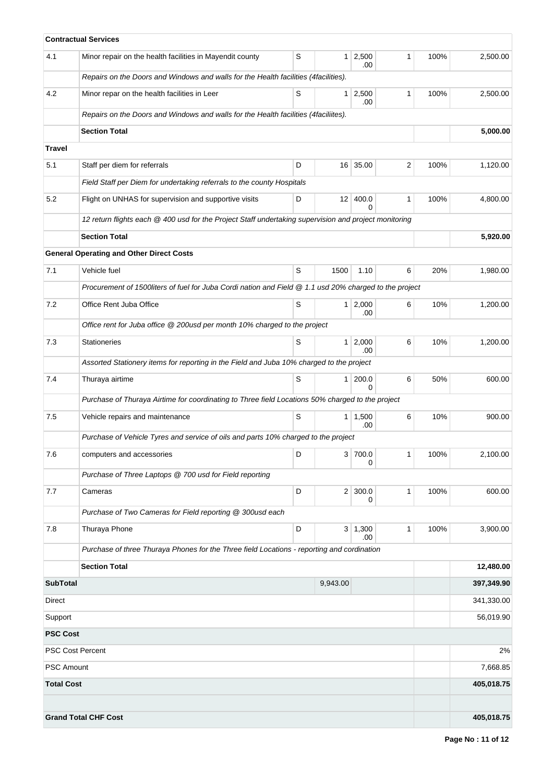|                         | <b>Contractual Services</b>                                                                            |   |                |                       |              |      |            |
|-------------------------|--------------------------------------------------------------------------------------------------------|---|----------------|-----------------------|--------------|------|------------|
| 4.1                     | Minor repair on the health facilities in Mayendit county                                               | S |                | $1 \ 2,500$<br>.00    | 1            | 100% | 2,500.00   |
|                         | Repairs on the Doors and Windows and walls for the Health facilities (4facilities).                    |   |                |                       |              |      |            |
| 4.2                     | Minor repar on the health facilities in Leer                                                           | S | 1 <sup>1</sup> | 2,500<br>.00          | 1            | 100% | 2,500.00   |
|                         | Repairs on the Doors and Windows and walls for the Health facilities (4faciliites).                    |   |                |                       |              |      |            |
|                         | <b>Section Total</b>                                                                                   |   |                |                       |              |      | 5,000.00   |
| <b>Travel</b>           |                                                                                                        |   |                |                       |              |      |            |
| 5.1                     | Staff per diem for referrals                                                                           | D |                | 16 35.00              | 2            | 100% | 1,120.00   |
|                         | Field Staff per Diem for undertaking referrals to the county Hospitals                                 |   |                |                       |              |      |            |
| 5.2                     | Flight on UNHAS for supervision and supportive visits                                                  | D | 12             | 400.0<br><sup>0</sup> | 1            | 100% | 4,800.00   |
|                         | 12 return flights each @ 400 usd for the Project Staff undertaking supervision and project monitoring  |   |                |                       |              |      |            |
|                         | <b>Section Total</b>                                                                                   |   |                |                       |              |      | 5,920.00   |
|                         | <b>General Operating and Other Direct Costs</b>                                                        |   |                |                       |              |      |            |
| 7.1                     | Vehicle fuel                                                                                           | S | 1500           | 1.10                  | 6            | 20%  | 1,980.00   |
|                         | Procurement of 1500liters of fuel for Juba Cordi nation and Field @ 1.1 usd 20% charged to the project |   |                |                       |              |      |            |
| 7.2                     | Office Rent Juba Office                                                                                | S |                | $1 \mid 2,000$<br>.00 | 6            | 10%  | 1,200.00   |
|                         | Office rent for Juba office @ 200usd per month 10% charged to the project                              |   |                |                       |              |      |            |
| 7.3                     | <b>Stationeries</b>                                                                                    | S |                | $1 \ 2,000$<br>.00    | 6            | 10%  | 1,200.00   |
|                         | Assorted Stationery items for reporting in the Field and Juba 10% charged to the project               |   |                |                       |              |      |            |
| 7.4                     | Thuraya airtime                                                                                        | S | 1 <sup>1</sup> | 200.0<br><sup>0</sup> | 6            | 50%  | 600.00     |
|                         | Purchase of Thuraya Airtime for coordinating to Three field Locations 50% charged to the project       |   |                |                       |              |      |            |
| 7.5                     | Vehicle repairs and maintenance                                                                        | S |                | $1 \mid 1,500$<br>.00 | 6            | 10%  | 900.00     |
|                         | Purchase of Vehicle Tyres and service of oils and parts 10% charged to the project                     |   |                |                       |              |      |            |
| 7.6                     | computers and accessories                                                                              | D |                | 3 700.0 <br>0         | 1            | 100% | 2,100.00   |
|                         | Purchase of Three Laptops @ 700 usd for Field reporting                                                |   |                |                       |              |      |            |
| 7.7                     | Cameras                                                                                                | D |                | 2 300.0<br>0          | $\mathbf{1}$ | 100% | 600.00     |
|                         | Purchase of Two Cameras for Field reporting @ 300usd each                                              |   |                |                       |              |      |            |
| 7.8                     | Thuraya Phone                                                                                          | D |                | 3   1,300<br>.00      | 1            | 100% | 3,900.00   |
|                         | Purchase of three Thuraya Phones for the Three field Locations - reporting and cordination             |   |                |                       |              |      |            |
|                         | <b>Section Total</b>                                                                                   |   |                |                       |              |      | 12,480.00  |
| <b>SubTotal</b>         |                                                                                                        |   | 9,943.00       |                       |              |      | 397,349.90 |
| <b>Direct</b>           |                                                                                                        |   |                |                       |              |      | 341,330.00 |
| Support                 |                                                                                                        |   |                |                       |              |      | 56,019.90  |
| <b>PSC Cost</b>         |                                                                                                        |   |                |                       |              |      |            |
| <b>PSC Cost Percent</b> |                                                                                                        |   |                |                       |              |      | 2%         |
| <b>PSC Amount</b>       |                                                                                                        |   |                |                       |              |      | 7,668.85   |
| <b>Total Cost</b>       |                                                                                                        |   |                |                       |              |      | 405,018.75 |
|                         |                                                                                                        |   |                |                       |              |      |            |
|                         | <b>Grand Total CHF Cost</b>                                                                            |   |                |                       |              |      | 405,018.75 |